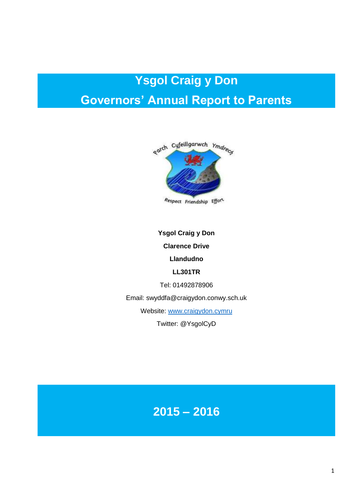# **Ysgol Craig y Don Governors' Annual Report to Parents**



Respect Friendship Effort

**Ysgol Craig y Don Clarence Drive Llandudno LL301TR** Tel: 01492878906

Email: swyddfa@craigydon.conwy.sch.uk

Website: [www.craigydon.cymru](http://www.craigydon.cymru/)

Twitter: @YsgolCyD

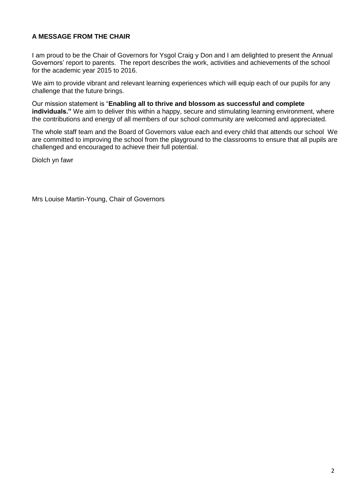# **A MESSAGE FROM THE CHAIR**

I am proud to be the Chair of Governors for Ysgol Craig y Don and I am delighted to present the Annual Governors' report to parents. The report describes the work, activities and achievements of the school for the academic year 2015 to 2016.

We aim to provide vibrant and relevant learning experiences which will equip each of our pupils for any challenge that the future brings.

Our mission statement is "**Enabling all to thrive and blossom as successful and complete individuals."** We aim to deliver this within a happy, secure and stimulating learning environment, where the contributions and energy of all members of our school community are welcomed and appreciated.

The whole staff team and the Board of Governors value each and every child that attends our school We are committed to improving the school from the playground to the classrooms to ensure that all pupils are challenged and encouraged to achieve their full potential.

Diolch yn fawr

Mrs Louise Martin-Young, Chair of Governors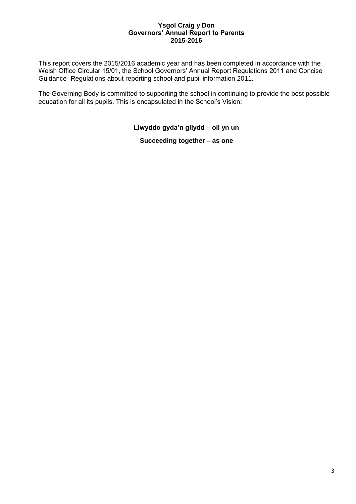### **Ysgol Craig y Don Governors' Annual Report to Parents 2015-2016**

This report covers the 2015/2016 academic year and has been completed in accordance with the Welsh Office Circular 15/01, the School Governors' Annual Report Regulations 2011 and Concise Guidance- Regulations about reporting school and pupil information 2011.

The Governing Body is committed to supporting the school in continuing to provide the best possible education for all its pupils. This is encapsulated in the School's Vision:

**Llwyddo gyda'n gilydd – oll yn un**

**Succeeding together – as one**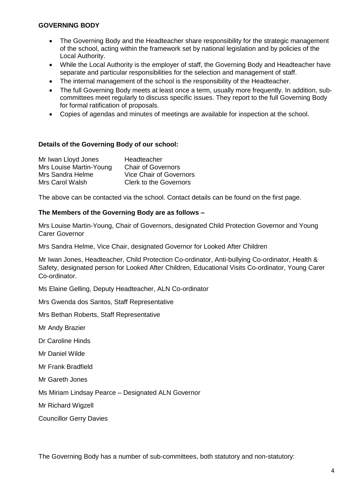### **GOVERNING BODY**

- The Governing Body and the Headteacher share responsibility for the strategic management of the school, acting within the framework set by national legislation and by policies of the Local Authority.
- While the Local Authority is the employer of staff, the Governing Body and Headteacher have separate and particular responsibilities for the selection and management of staff.
- The internal management of the school is the responsibility of the Headteacher.
- The full Governing Body meets at least once a term, usually more frequently. In addition, subcommittees meet regularly to discuss specific issues. They report to the full Governing Body for formal ratification of proposals.
- Copies of agendas and minutes of meetings are available for inspection at the school.

### **Details of the Governing Body of our school:**

| Mr Iwan Lloyd Jones     | Headteacher                    |
|-------------------------|--------------------------------|
| Mrs Louise Martin-Young | <b>Chair of Governors</b>      |
| Mrs Sandra Helme        | <b>Vice Chair of Governors</b> |
| Mrs Carol Walsh         | <b>Clerk to the Governors</b>  |

The above can be contacted via the school. Contact details can be found on the first page.

### **The Members of the Governing Body are as follows –**

Mrs Louise Martin-Young, Chair of Governors, designated Child Protection Governor and Young Carer Governor

Mrs Sandra Helme, Vice Chair, designated Governor for Looked After Children

Mr Iwan Jones, Headteacher, Child Protection Co-ordinator, Anti-bullying Co-ordinator, Health & Safety, designated person for Looked After Children, Educational Visits Co-ordinator, Young Carer Co-ordinator.

Ms Elaine Gelling, Deputy Headteacher, ALN Co-ordinator

Mrs Gwenda dos Santos, Staff Representative

Mrs Bethan Roberts, Staff Representative

Mr Andy Brazier

Dr Caroline Hinds

Mr Daniel Wilde

Mr Frank Bradfield

Mr Gareth Jones

Ms Miriam Lindsay Pearce – Designated ALN Governor

Mr Richard Wigzell

Councillor Gerry Davies

The Governing Body has a number of sub-committees, both statutory and non-statutory: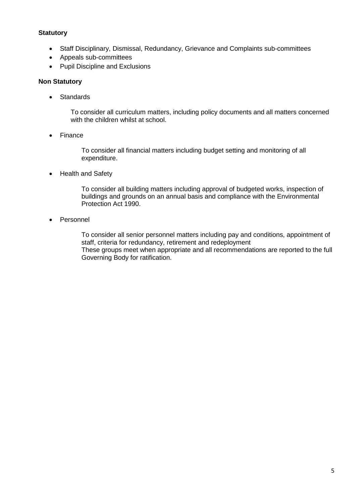### **Statutory**

- Staff Disciplinary, Dismissal, Redundancy, Grievance and Complaints sub-committees
- Appeals sub-committees
- Pupil Discipline and Exclusions

### **Non Statutory**

• Standards

To consider all curriculum matters, including policy documents and all matters concerned with the children whilst at school.

• Finance

To consider all financial matters including budget setting and monitoring of all expenditure.

• Health and Safety

To consider all building matters including approval of budgeted works, inspection of buildings and grounds on an annual basis and compliance with the Environmental Protection Act 1990.

Personnel

To consider all senior personnel matters including pay and conditions, appointment of staff, criteria for redundancy, retirement and redeployment These groups meet when appropriate and all recommendations are reported to the full Governing Body for ratification.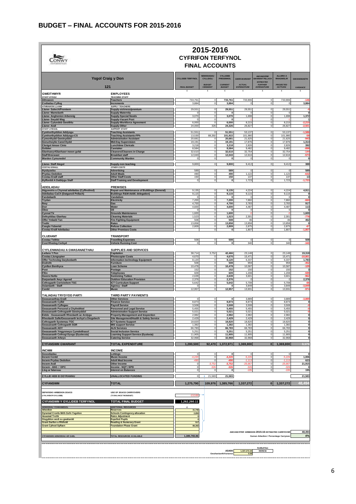|                                                                                                 | 2015-2016<br><b>CYFRIFON TERFYNOL</b><br><b>FINAL ACCOUNTS</b>                           |                             |                                                        |                                                |                                      |                                                                      |                                                         |                             |
|-------------------------------------------------------------------------------------------------|------------------------------------------------------------------------------------------|-----------------------------|--------------------------------------------------------|------------------------------------------------|--------------------------------------|----------------------------------------------------------------------|---------------------------------------------------------|-----------------------------|
|                                                                                                 | <b>Ysgol Craig y Don</b>                                                                 | <b>CYLLIDEB TERFYNOL</b>    | <b>NEWIDIADAU</b><br><b>CYLLIDOL/</b><br><b>BUDGET</b> | <b>CYLLIDEB</b><br>PRESENNOL<br><b>CURRENT</b> | <b>GWIR-WARIANT</b><br><b>ACTUAL</b> | AMCANGYFRIF<br>VARIANT PELLACH<br><b>ESTIMATED</b><br><b>FURTHER</b> | <b>ALLDRO A</b><br><b>RHAGWELIR</b><br><b>PROJECTED</b> | <b>GWAHANIAETH</b>          |
| <b>GWEITHWYR</b>                                                                                | 121<br><b>EMPLOYEES</b>                                                                  | <b>FINAL BUDGET</b><br>ç    | <b>VIREMENT</b>                                        | <b>BUDGET</b><br>£                             | <b>EXPENDITURE</b><br>£              | <b>EXPENDITURE</b><br>ç                                              | <b>OUTTURN</b><br>ç                                     | VARIANCE<br>£               |
| <b>STAFF DYSGU</b><br>Athrawon                                                                  | <b>TEACHING STAFF</b><br><b>Teachers</b>                                                 | 733,761                     |                                                        | 733,761                                        | 733,906                              | $^{\circ}$                                                           | 733,906                                                 | $-140$                      |
| <b>Codiadau Cyflog</b><br>ATHRAWON LLANW                                                        | <b>Increments</b><br><b>SUPPLY TEACHERS</b>                                              | 3,884                       |                                                        | 3,884                                          |                                      | $\mathbf 0$                                                          |                                                         | 3,884                       |
| Llanw-Salwch/Premiwm<br>Llanw-Mamolaeth                                                         | Supply-sickness/premium<br><b>Supply-Maternity</b>                                       | 29,551<br>$\mathbf 0$       | $\Omega$<br>$\mathbf 0$                                | 29,551<br>$\mathbf 0$                          | 29,551                               | $\Omega$<br>$\mathbf 0$                                              | 29,551                                                  |                             |
| <b>Llanw-Anghenion Arbennig</b><br>Llanw-Swydd Wag                                              | <b>Supply-Special Needs</b><br><b>Supply-Vacant Post</b>                                 | 3,070<br>$\mathbf 0$        | O<br>$\Omega$                                          | 3,070<br>$\mathbf 0$                           | 1,698                                | $\mathbf 0$<br>$\overline{0}$                                        | 1,698                                                   | 1,372                       |
| Llanw- Cytundeb Gweithlu<br><b>Llanw-Arall</b>                                                  | <b>Supply-Workforce Agreement</b><br><b>Supply-Other</b>                                 | 6,000<br>24,000             | $\mathbf 0$<br>326                                     | 6,000<br>24,326                                | 8,215<br>26,827                      | $\bf{0}$<br>$\overline{0}$                                           | 8,215<br>26,827                                         | $-2.21$<br>$-2.50$          |
| <b>STAFF ATEGOL</b><br><b>Cymhorthyddion Addysgu</b>                                            | <b>SUPPORT STAFF</b><br><b>Teaching Assistants</b>                                       | 51,551                      |                                                        | 51,551                                         | 53,137                               | $^{\circ}$                                                           | 53,137                                                  | $-1,58$                     |
| <b>Cymhorthyddion Addysgu-CS</b><br><b>Cymorthydd Gweinyddol</b><br>Goruchwylio Canol Dydd      | <b>Teaching Assistants-FPh</b><br><b>Administrative Assistant</b>                        | 13,530<br>20,681<br>19,191  | 88,392<br>$\Omega$                                     | 101,922<br>20,681                              | 101,980<br>21,625<br>17,876          | $\overline{0}$<br>$\bf{0}$<br>$\overline{0}$                         | 101,980<br>21,625<br>17,876                             | -51<br>-94<br>1,314         |
| <b>Clerigol Amser Cinio</b><br>Gofalwr                                                          | <b>Mid-Day Supervision</b><br><b>Lunchtime Clericals</b><br>Caretaker                    | 3,218<br>8,584              | $\Omega$                                               | 19,191<br>3,218<br>8,584                       | 2,826<br>9,482                       | $\Omega$<br>$^{\circ}$                                               | 2,826<br>9,482                                          | 392<br>-891                 |
| Glanhawyr/Glanhawr mewn gofal<br><b>Staff Brecwast</b>                                          | <b>Cleaners/Cleaners in Charge</b><br><b>Breakfast staff</b>                             | 32,610<br>12,043            | $\Omega$                                               | 32,610<br>12,043                               | 32,754<br>12,616                     | $\bf{0}$<br>0                                                        | 32,754<br>12,616                                        | $-144$<br>57                |
| <b>Warden Cymunedol</b>                                                                         | <b>Community Warden</b>                                                                  | $\mathbf 0$                 | $\Omega$                                               | $\mathbf 0$                                    | $\Omega$                             | $\mathbf 0$                                                          | $\Omega$                                                |                             |
| <b>Llanw-Staff Ategol</b><br><b>COSTAU ERAILL</b>                                               | Supply-non teaching<br>OTHER COSTS                                                       | 9,800                       | $\overline{0}$                                         | 9,800                                          | 9,412                                | $\overline{0}$                                                       | 9,412                                                   | 388                         |
| <b>Hysbysebu</b><br><b>Prydau Oedolion</b>                                                      | <b>Advertising</b><br><b>Adult Meals</b>                                                 | 589<br>490                  | $\Omega$<br>$\mathbf 0$                                | 589<br>490                                     | $\Omega$<br>1,122                    | $\overline{0}$<br>$\overline{0}$                                     | $\Omega$<br>1,122                                       | 589<br>$-63$                |
| <b>Costau Eraill staff</b><br>Hyfforddi A Datblygu Staff                                        | <b>Other Staff Costs</b><br><b>Staff Training and Development</b>                        | 150<br>$\Omega$             |                                                        | 150<br>$\mathbf 0$                             | 137<br>1,723                         | $\mathbf 0$<br>$\Omega$                                              | 137<br>1,723                                            | 13<br>$-1,72$               |
| ADEILADAU<br>Atgyweirio a Chynnal adeiladau (Cyffredinol)<br>Adeiladau-CaCh (Datganoli Pellach) | <b>PREMISES</b><br>Repair and Maintenance of Buildings (General)                         | 9,135<br>9,115              | $\Omega$                                               | 9,135<br>9,115                                 | 4,224<br>9,115                       | $\Omega$<br>$\Omega$                                                 | 4,224<br>9,115                                          | 4,911                       |
| Fandaliaeth                                                                                     | Buildings R&M-Addtl. delegation)<br>Vandalism                                            | $\mathbf 0$                 | $\Omega$<br>$\Omega$                                   | $\mathbf 0$<br>7,200                           | $\Omega$<br>7,860                    | $\mathbf 0$<br>$\mathbf 0$                                           | $\Omega$<br>7,860                                       | $\Omega$                    |
| Trydan<br><b>Nwy</b><br>Dwr                                                                     | Electricity<br>Gas<br>Water                                                              | 7,200<br>4,700<br>4,600     | O                                                      | 4,700<br>4,600                                 | 3,783<br>4,487                       | 0<br>$\mathbf 0$                                                     | 3,783<br>4,487                                          | -660<br>917<br>113          |
| Olew                                                                                            | Oil<br><b>Grounds Maintenance</b>                                                        | $\mathbf 0$<br>1,600        | $\Omega$<br>$^{\circ}$                                 | $\overline{\mathbf{0}}$<br>1,600               | $\Omega$                             | $\overline{0}$<br>$\bf{0}$                                           | $\Omega$                                                | 1,600                       |
| Cynnal Tir<br>Defnyddiau Glanhau<br>Offer Ymladd Tan                                            | <b>Cleaning Materials</b><br><b>Fire Fighting Equipment</b>                              | 1,523<br>508                | $\Omega$<br>$\Omega$                                   | 1,523<br>508                                   | 2,301<br>46                          | $^{\circ}$<br>$\mathbf 0$                                            | 2,301<br>46                                             | -771<br>462                 |
| Trethi<br><b>Casglu Ysbwriel</b>                                                                | Rates<br><b>Refuse Collection</b>                                                        | 13,858<br>2,809             | $\Omega$<br>O                                          | 13,858<br>2,809                                | 13,858<br>2,875                      | $\mathbf 0$<br>$\Omega$                                              | 13,858<br>2,875                                         | $\mathbf 0$<br>-67          |
| Costau Eraill Adeiladau                                                                         | <b>Other Premises Costs</b>                                                              |                             |                                                        | $\mathbf 0$                                    | 1,807                                |                                                                      | 1,807                                                   | $-1,80$                     |
| <b>CLUDIANT</b><br><b>Costau Teithio</b>                                                        | <b>TRANSPORT</b><br><b>Travelling Expenses</b>                                           | 508                         | $\Omega$                                               | 508                                            | $^{\circ}$                           | $^{\circ}$                                                           | $\mathbf 0$                                             | 508                         |
| <b>Cost Rhedeg Cerbyd</b>                                                                       | <b>Vehicle Running Cost</b>                                                              |                             |                                                        | $\mathbf{0}$                                   | 340                                  |                                                                      | 340                                                     | -34                         |
| CYFLENWADAU A GWASANAETHAU<br><b>Lwfans Y Pen</b>                                               | SUPPLIES AND SERVICES<br>Capitation                                                      | 38,714                      | 3,752                                                  | 42,466                                         | 23,148                               | $^{\circ}$                                                           | 23,148                                                  | 19,318                      |
| <b>Costau Llungopiwr</b><br>Offer Technoleg Gwybodaeth                                          | <b>Photocopier Costs</b><br><b>Information technology Equipment</b>                      | 4,670<br>8,120              |                                                        | 4,670<br>8,120                                 | 15,471<br>6,337                      | $\mathbf 0$<br>$^{\circ}$                                            | 15,471<br>6,337                                         | 10,80<br>1,783              |
| Dodrefn<br><b>Cynllun Benthyca</b>                                                              | <b>Furniture</b><br>Loan Scheme                                                          | 508<br>10,478               | $\Omega$                                               | 508<br>10,478                                  | 959<br>10,587                        | $\mathbf 0$<br>0                                                     | 959<br>10,587                                           | -45<br>-10                  |
| Post<br>Ffôn                                                                                    | Postage<br><b>Telephones</b>                                                             | 152<br>609                  |                                                        | 152<br>609                                     | 150<br>1,208                         | $\mathbf 0$<br>$\Omega$                                              | 150<br>1,208                                            | $-599$                      |
| <b>Gwersi Nofio</b><br>Darpariaeth Awyr Agored                                                  | <b>Swimming Tuition</b><br><b>Outdoor Education Provision</b>                            | 2,639<br>2,376              | $^{\circ}$<br>$\Omega$                                 | 2,639<br>2,376                                 | 3,601<br>-0                          | $\mathbf 0$<br>$^{\circ}$                                            | 3,601<br>$^{\circ}$                                     | -96<br>2,376                |
| <b>Cefnogaeth Cwriciwlwm TGC</b><br>Asiantaeth - Staff                                          | <b>ICT Curriculum Support</b><br>Agency - Staff                                          | 5,642<br>$^{\circ}$         | $\Omega$                                               | 5,642<br>$\mathbf 0$                           | 5,708<br>3,849                       | $\mathbf 0$<br>$\bf{0}$                                              | 5,708<br>3,849                                          | -6<br>$-3,849$              |
| Cerdd<br>TALIADAU TRYDYDD PARTI                                                                 | <b>Music</b><br>THIRD PARTY PAYMENTS                                                     | 12,957                      | $\mathbf 0$                                            | 12,957                                         | 13,931                               | $\overline{0}$                                                       | 13,931                                                  | $-97$                       |
| <b>Gwasanaethau Eraill</b><br><b>Gwasanaeth Cyllid</b>                                          | <b>Other Services</b><br><b>Finance Service</b>                                          | $\mathbf 0$<br>8,873        |                                                        | $\mathbf 0$<br>8,873                           | 3,889<br>8,873                       | $^{\circ}$<br>$\mathbf 0$                                            | 3,889<br>8,873                                          | $-3,88$                     |
| <b>Gwasanaeth Cyflogau</b><br><b>Gwasanaeth Personel a Chyfreithiol</b>                         | <b>Payroll Service</b><br><b>Personnel and Legal Service</b>                             | 3,508<br>5,455              | $\Omega$                                               | 3,508<br>5,455                                 | 3,508<br>5,455                       | $\mathbf 0$<br>$\mathbf 0$                                           | 3,508<br>5,455                                          |                             |
| <b>Gwasanaeth Cefnogaeth Gweinyddol</b><br>Eiddo - Gwasanaeth Rheolaeth ac Arolygu              | <b>Administrative Support Service</b><br><b>Property-Management and Inspection</b>       | 5,021                       | $\Omega$                                               | 5,021<br>2,982                                 | 5,021                                | $\mathbf 0$                                                          | 5,021                                                   |                             |
| Rheolaeth Safle/Gwasanaeth lechyd a Diogelwch<br>Cefnogaeth Systemau TGC                        | Site Management/Health & Safety Service<br><b>ICT Systems Support</b>                    | 2,429<br>18,820             |                                                        | 2,429<br>18,820                                | 2,429<br>18,820                      | 0<br>$\mathbf 0$                                                     | 2,429<br>18,820                                         | $\mathbf{0}$<br>$\mathbf 0$ |
| <b>Gwasanaeth Cefnogaeth SGR</b><br><b>Gwasanaeth ADY</b>                                       | <b>MIS support Service</b><br><b>ALN Services</b>                                        | 1,382<br>66,783             |                                                        | 1,382<br>66,783                                | 1,382<br>66,783                      | $\overline{0}$<br>$\mathbf 0$                                        | 1,382<br>66,783                                         | $\Omega$<br>$\mathbf{0}$    |
| Gwasanaeth Ymgynnwys Cymdeithasol<br>Gwasanaeth Cefnogi Dysgu (Dyslecsia)                       | <b>Social Inclusion Service</b><br><b>Learning Support Service (Dyslexia)</b>            | 5,251<br>11,905             | $\Omega$                                               | 5,251<br>11,905                                | 5,251<br>11,905                      | $^{\circ}$<br>0                                                      | 5,251<br>11,905                                         | $\mathbf 0$<br>$\Omega$     |
| Gwasanaeth Arlwyo                                                                               | <b>Catering Service</b>                                                                  | 32,968                      |                                                        | 32,968                                         | 32,968                               | $^{\circ}$                                                           | 32,968                                                  |                             |
| <b>CYFANSWM GWARIANT</b>                                                                        | <b>TOTAL EXPENDITURE</b>                                                                 | 1,280,500                   |                                                        | 92,470 1,372,971                               | 1,369,800                            | 0                                                                    | 1,369,800                                               | .17                         |
| <b>INCWM</b><br>Gosodiadau                                                                      | <b>INCOME</b><br>Lettings                                                                | $\Omega$                    |                                                        | $\mathbf 0$                                    | $\Omega$                             | $\Omega$                                                             | $\Omega$                                                | $\Omega$                    |
| <b>Incwm Cerdd</b><br><b>Incwm Prydau Oedolion</b>                                              | <b>Music Income</b><br><b>Adult Meal Income</b>                                          | 4.221<br>$-490$             |                                                        | $-4,220$<br>$-490$                             | $-5.22$<br>$-1.11$                   | $\overline{0}$<br>$\mathbf 0$                                        | $-5.22$<br>$-1,11$                                      | 1,006<br>623                |
| <b>Incwm Arall</b><br>Incwm - ANG / DPC                                                         | Other Income<br>Income - NQT / EPD                                                       | 0<br>$\mathbf 0$            | $-3,75$                                                | -3,752<br>326                                  | $-25,66$                             | $\circ$<br>0<br>$\mathbf 0$                                          | $-25,66$                                                | 21,915<br>$\Omega$          |
| Llog ar falansau<br><b>CYLLID HEB EI DDYRANNU</b>                                               | <b>Interest on Balances</b><br><b>UNALLOCATED FUNDING</b>                                | $\pmb{0}$<br>$\overline{0}$ | 21,583<br>$\ddot{\phantom{1}}$                         | $\mathbf 0$<br>21,583                          |                                      |                                                                      |                                                         | 195<br>21,583               |
| <b>CYFANSWM</b>                                                                                 | <b>TOTAL</b>                                                                             | 1,275,790                   | 109,976                                                | 1,385,766                                      | 1,337,272                            | 0                                                                    | 1,337,272                                               | 48,49                       |
| DEFNYDDIO ARBEDION 2014/15<br>(I FALANSIO'R GYLLIDEB)                                           | USE OF 2014/15 CARRYOVERS<br>(TO BALANCE THE BUDGET)                                     | $-13,530$                   |                                                        |                                                |                                      |                                                                      |                                                         |                             |
| <b>CYFANSWM Y GYLLIDEB TERFYNOL</b>                                                             | <b>TOTAL FINAL BUDGET</b>                                                                | 1,262,260.11                |                                                        |                                                |                                      |                                                                      |                                                         |                             |
| ADNODDAU YCHWANEGOL                                                                             | <b>ADDITIONAL RESOURCES</b>                                                              |                             |                                                        |                                                |                                      |                                                                      |                                                         |                             |
| <b>Arbedion</b><br><b>Dyraniad Cronfa Wrth Gefn Ysgolion</b>                                    | <b>Reserves</b><br><b>Schools Contingency allocation</b>                                 | 31,746<br>2,850             |                                                        |                                                |                                      |                                                                      |                                                         |                             |
| <b>Assasiad Trethi</b><br>Disgyblion wedi eu gwahardd<br><b>Grant Darllen a Rhifedd</b>         | <b>Rates Adjustment</b><br><b>Expelled Pupils</b><br><b>Reading &amp; Numeracy Grant</b> | 517                         |                                                        |                                                |                                      |                                                                      |                                                         |                             |
| <b>Grant Cyfnod Sylfaen</b>                                                                     | <b>Foundation Phase Grant</b>                                                            | 88,392                      |                                                        |                                                |                                      |                                                                      |                                                         |                             |
|                                                                                                 |                                                                                          |                             |                                                        |                                                |                                      | AMCANGYFRIF ARBEDION 2015-16 ESTIMATED CARRYOVER                     |                                                         | 48,494<br>4%                |
| <b>CYFANSWM ADNODDAU AR GAEL</b>                                                                | TOTAL RESOURCES AVAILABLE                                                                | 1,385,765.86                |                                                        |                                                |                                      | Canran Arbedion / Percentage Carryove                                |                                                         |                             |
|                                                                                                 |                                                                                          |                             |                                                        | AS400<br>Gwahaniaeth/Variance                  | 1,337,272.34<br>0.00                 | Dyddiad/Date<br>05/05/16                                             |                                                         |                             |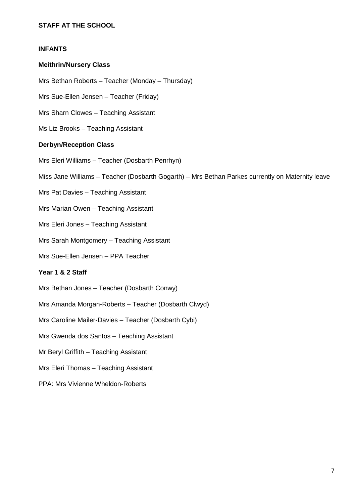# **STAFF AT THE SCHOOL**

### **INFANTS**

### **Meithrin/Nursery Class**

Mrs Bethan Roberts – Teacher (Monday – Thursday)

Mrs Sue-Ellen Jensen – Teacher (Friday)

Mrs Sharn Clowes – Teaching Assistant

Ms Liz Brooks – Teaching Assistant

### **Derbyn/Reception Class**

Mrs Eleri Williams – Teacher (Dosbarth Penrhyn)

Miss Jane Williams – Teacher (Dosbarth Gogarth) – Mrs Bethan Parkes currently on Maternity leave

Mrs Pat Davies – Teaching Assistant

Mrs Marian Owen – Teaching Assistant

Mrs Eleri Jones – Teaching Assistant

Mrs Sarah Montgomery – Teaching Assistant

Mrs Sue-Ellen Jensen – PPA Teacher

### **Year 1 & 2 Staff**

Mrs Bethan Jones – Teacher (Dosbarth Conwy)

Mrs Amanda Morgan-Roberts – Teacher (Dosbarth Clwyd)

Mrs Caroline Mailer-Davies – Teacher (Dosbarth Cybi)

Mrs Gwenda dos Santos – Teaching Assistant

Mr Beryl Griffith – Teaching Assistant

Mrs Eleri Thomas – Teaching Assistant

PPA: Mrs Vivienne Wheldon-Roberts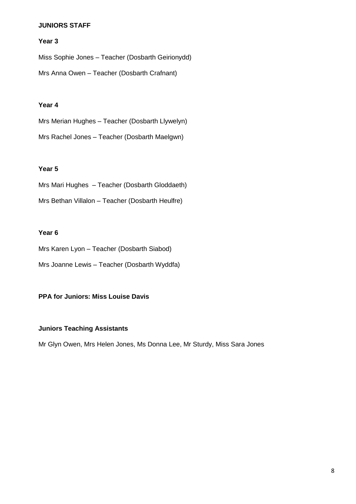### **JUNIORS STAFF**

### **Year 3**

Miss Sophie Jones – Teacher (Dosbarth Geirionydd) Mrs Anna Owen – Teacher (Dosbarth Crafnant)

### **Year 4**

Mrs Merian Hughes – Teacher (Dosbarth Llywelyn) Mrs Rachel Jones – Teacher (Dosbarth Maelgwn)

### **Year 5**

Mrs Mari Hughes – Teacher (Dosbarth Gloddaeth) Mrs Bethan Villalon – Teacher (Dosbarth Heulfre)

### **Year 6**

Mrs Karen Lyon – Teacher (Dosbarth Siabod)

Mrs Joanne Lewis – Teacher (Dosbarth Wyddfa)

### **PPA for Juniors: Miss Louise Davis**

### **Juniors Teaching Assistants**

Mr Glyn Owen, Mrs Helen Jones, Ms Donna Lee, Mr Sturdy, Miss Sara Jones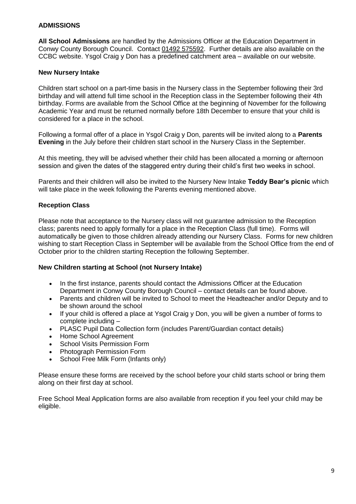### **ADMISSIONS**

**All School Admissions** are handled by the Admissions Officer at the Education Department in Conwy County Borough Council. Contact [01492 575592.](tel:01492575592) Further details are also available on the CCBC website. Ysgol Craig y Don has a predefined catchment area – available on our website.

### **New Nursery Intake**

Children start school on a part-time basis in the Nursery class in the September following their 3rd birthday and will attend full time school in the Reception class in the September following their 4th birthday. Forms are available from the School Office at the beginning of November for the following Academic Year and must be returned normally before 18th December to ensure that your child is considered for a place in the school.

Following a formal offer of a place in Ysgol Craig y Don, parents will be invited along to a **Parents Evening** in the July before their children start school in the Nursery Class in the September.

At this meeting, they will be advised whether their child has been allocated a morning or afternoon session and given the dates of the staggered entry during their child's first two weeks in school.

Parents and their children will also be invited to the Nursery New Intake **Teddy Bear's picnic** which will take place in the week following the Parents evening mentioned above.

### **Reception Class**

Please note that acceptance to the Nursery class will not guarantee admission to the Reception class; parents need to apply formally for a place in the Reception Class (full time). Forms will automatically be given to those children already attending our Nursery Class. Forms for new children wishing to start Reception Class in September will be available from the School Office from the end of October prior to the children starting Reception the following September.

### **New Children starting at School (not Nursery Intake)**

- In the first instance, parents should contact the Admissions Officer at the Education Department in Conwy County Borough Council – contact details can be found above.
- Parents and children will be invited to School to meet the Headteacher and/or Deputy and to be shown around the school
- If your child is offered a place at Ysgol Craig y Don, you will be given a number of forms to complete including –
- PLASC Pupil Data Collection form (includes Parent/Guardian contact details)
- Home School Agreement
- School Visits Permission Form
- Photograph Permission Form
- School Free Milk Form (Infants only)

Please ensure these forms are received by the school before your child starts school or bring them along on their first day at school.

Free School Meal Application forms are also available from reception if you feel your child may be eligible.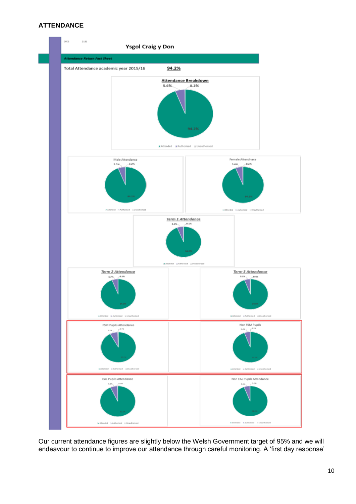### **ATTENDANCE**



Our current attendance figures are slightly below the Welsh Government target of 95% and we will endeavour to continue to improve our attendance through careful monitoring. A 'first day response'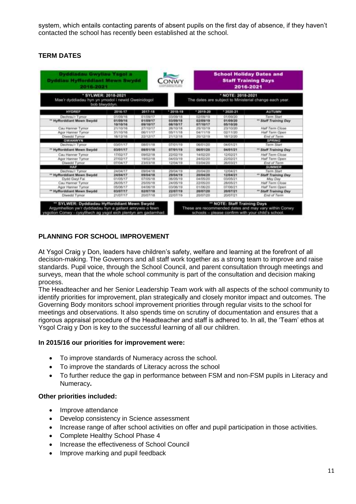system, which entails contacting parents of absent pupils on the first day of absence, if they haven't contacted the school has recently been established at the school.

# **TERM DATES**

| 2016-2021                                                                                |                      |                      |                      |                                                                             |                      | 2016-2021                           |  |  |
|------------------------------------------------------------------------------------------|----------------------|----------------------|----------------------|-----------------------------------------------------------------------------|----------------------|-------------------------------------|--|--|
| * SYLWER: 2018-2021<br>Mae'r dyddiadau hyn yn ymodol i newid Gweinidogol<br>bob blwyddyn |                      |                      |                      | * NOTE: 2018-2021<br>The dates are subject to Ministerial change each year. |                      |                                     |  |  |
| <b>HYDREF</b>                                                                            | 2016-17              | 2017-18              | $-2018-19$           | $*2019-20$                                                                  | $*2020 - 21$         | <b>AUTUMN</b>                       |  |  |
| Dechnau'r Tymor<br>** Hyfforddiant Mawn Swydd                                            | 01/09/16<br>81/09/16 | 01/09/17<br>01/09/17 | 03/09/18<br>03/09/18 | 02/09/19<br>02/09/19                                                        | 01/09/20<br>01/09/20 | Term Start<br>** Staff Training Day |  |  |
|                                                                                          | 10/10/16             | 06/10/17             | 08/10/17             | 07110117                                                                    | 05/10/20             |                                     |  |  |
| Cau Hanner Tymor                                                                         | 21/10/16             | 27/10/17             | 26/10/18             | 25/10/19                                                                    | 23/10/20             | Half Term Close                     |  |  |
| Agor Hanner Tymor                                                                        | 31/10/16             | 06/11/17             | <b>DS/11/18</b>      | 04/11/19                                                                    | 02/11/20             | Half Term Open                      |  |  |
| Diwedd Tymor<br><b>GWANWYN</b>                                                           | 16/12/16             | 22/12/17             | 21/12/18             | 20/12/19                                                                    | 18/12/20             | End of Term<br><b>SPRING</b>        |  |  |
| Dechnau'r Tymor                                                                          | 03/01/17             | 08/01/18             | 07/01/19             | 06/01/20                                                                    | 04/01/21             | Toren Start                         |  |  |
| ** Hyfforddiant Mawn Swydd                                                               | 03/01/17             | 08/01/18             | 07/01/19             | 06/01/20                                                                    | 04/01/21             | <sup>**</sup> Staff Training Day    |  |  |
| Cau Hanner Tymor                                                                         | 17/02/17             | 09/02/18             | 22/02/19             | 14/02/20                                                                    | 12/02/21             | Half Term Close                     |  |  |
| Agor Harvier Tymor                                                                       | 27/02/17             | 19/02/18             | 04/03/19             | 24/02/20                                                                    | 22/02/21             | Half Term Cipen                     |  |  |
| Diwedd Tymor                                                                             | 07/04/17             | 23/03/18             | 12/04/19             | 03/04/20                                                                    | 26/03/21             | End of Term                         |  |  |
| HAF                                                                                      |                      |                      |                      |                                                                             |                      | SUMMER                              |  |  |
| Dechrau'r Tympr                                                                          | 24/04/17             | 05/04/18             | 29/04/19             | 20/04/20                                                                    | 12/04/21             | Torm Start                          |  |  |
| ** Hyfforddiant Mewn Swydd                                                               | 24/04/17             | 09/04/18             | 29/04/19             | 20/04/20                                                                    | 12/04/21             | <sup>**</sup> Staff Training Day    |  |  |
| Dydd Gwyl Fai                                                                            | 01/05/17             | 07/05/18             | 06/05/19             | 04/05/20                                                                    | 03/05/21             | May Day                             |  |  |
| Cau Hanner Tympr                                                                         | 26/05/17             | 25/05/18             | 34/05/19             | 22/05/20                                                                    | 28/05/21             | Half Term Close                     |  |  |
| Ager Harvier Tymor                                                                       | 05/06/17             | 04/06/18             | OCMO6/19             | 01/06/20                                                                    | 07/06/21             | Half Term Calen                     |  |  |
| ** Hyfforddiant Mewn Swydd                                                               | 03/07/17             | 02/07/18             | 22/07/19             | 20/07/20                                                                    | 20/07/21             | <sup>**</sup> Staff Training Day    |  |  |
| Diwedd Tymor                                                                             | 21/07/17             | 20/07/18             | 22/07/19             | 20/07/20                                                                    | 20/07/21             | End of Term                         |  |  |

# **PLANNING FOR SCHOOL IMPROVEMENT**

At Ysgol Craig y Don, leaders have children's safety, welfare and learning at the forefront of all decision-making. The Governors and all staff work together as a strong team to improve and raise standards. Pupil voice, through the School Council, and parent consultation through meetings and surveys, mean that the whole school community is part of the consultation and decision making process.

The Headteacher and her Senior Leadership Team work with all aspects of the school community to identify priorities for improvement, plan strategically and closely monitor impact and outcomes. The Governing Body monitors school improvement priorities through regular visits to the school for meetings and observations. It also spends time on scrutiny of documentation and ensures that a rigorous appraisal procedure of the Headteacher and staff is adhered to. In all, the 'Team' ethos at Ysgol Craig y Don is key to the successful learning of all our children.

### **In 2015/16 our priorities for improvement were:**

- To improve standards of Numeracy across the school.
- To improve the standards of Literacy across the school
- To further reduce the gap in performance between FSM and non-FSM pupils in Literacy and Numeracy**.**

### **Other priorities included:**

- Improve attendance
- Develop consistency in Science assessment
- Increase range of after school activities on offer and pupil participation in those activities.
- Complete Healthy School Phase 4
- Increase the effectiveness of School Council
- Improve marking and pupil feedback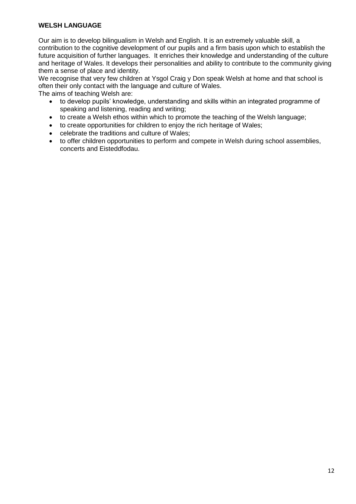# **WELSH LANGUAGE**

Our aim is to develop bilingualism in Welsh and English. It is an extremely valuable skill, a contribution to the cognitive development of our pupils and a firm basis upon which to establish the future acquisition of further languages. It enriches their knowledge and understanding of the culture and heritage of Wales. It develops their personalities and ability to contribute to the community giving them a sense of place and identity.

We recognise that very few children at Ysgol Craig y Don speak Welsh at home and that school is often their only contact with the language and culture of Wales.

The aims of teaching Welsh are:

- to develop pupils' knowledge, understanding and skills within an integrated programme of speaking and listening, reading and writing;
- to create a Welsh ethos within which to promote the teaching of the Welsh language;
- to create opportunities for children to enjoy the rich heritage of Wales;
- celebrate the traditions and culture of Wales;
- to offer children opportunities to perform and compete in Welsh during school assemblies, concerts and Eisteddfodau.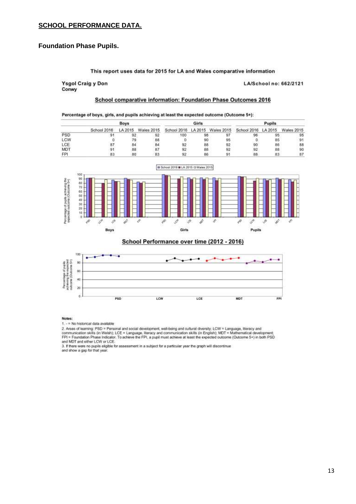### **SCHOOL PERFORMANCE DATA.**

### **Foundation Phase Pupils.**

#### This report uses data for 2015 for LA and Wales comparative information

**Ysgol Craig y Don** Conwy

LA/School no: 662/2121

#### School comparative information: Foundation Phase Outcomes 2016

#### Percentage of boys, girls, and pupils achieving at least the expected outcome (Outcome 5+):

| Boys       |  |    | Girls |                                                                                              |    | Pupils |    |    |    |
|------------|--|----|-------|----------------------------------------------------------------------------------------------|----|--------|----|----|----|
|            |  |    |       | School 2016 LA 2015 Wales 2015 School 2016 LA 2015 Wales 2015 School 2016 LA 2015 Wales 2015 |    |        |    |    |    |
| PSD        |  |    |       | 100                                                                                          | 98 |        |    |    | 95 |
| LCW        |  |    | 88    |                                                                                              | 90 |        |    | 85 | 91 |
| LCE        |  | 84 | 84    |                                                                                              | 88 |        | 90 | 86 | 88 |
| MDT        |  | 88 |       |                                                                                              | 88 |        | 92 | 88 | 90 |
| <b>FPI</b> |  | BD |       |                                                                                              | 86 |        | 88 | 83 | 87 |



School Performance over time (2012 - 2016)



Notes:

1. - = No historical data available

2. Areas of learning: PSD = Personal and social development, well-being and cultural diversity; LCW = Language, Iteracy and<br>communication skills (in Welsh); LCE = Language, literacy and communication skills (in English); M and MDT and either LCW or LCE.

and must are entered to the control of assessment in a subject for a particular year the graph will discontinue<br>and show a gap for that year.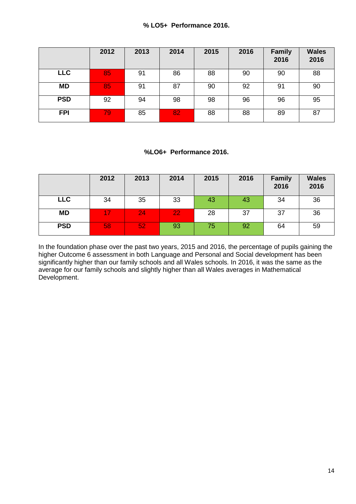## **% LO5+ Performance 2016.**

|            | 2012 | 2013 | 2014 | 2015 | 2016 | <b>Family</b><br>2016 | <b>Wales</b><br>2016 |
|------------|------|------|------|------|------|-----------------------|----------------------|
| <b>LLC</b> | 85   | 91   | 86   | 88   | 90   | 90                    | 88                   |
| <b>MD</b>  | 85   | 91   | 87   | 90   | 92   | 91                    | 90                   |
| <b>PSD</b> | 92   | 94   | 98   | 98   | 96   | 96                    | 95                   |
| <b>FPI</b> | 79   | 85   | 82   | 88   | 88   | 89                    | 87                   |

### **%LO6+ Performance 2016.**

|            | 2012 | 2013 | 2014 | 2015 | 2016 | <b>Family</b><br>2016 | <b>Wales</b><br>2016 |
|------------|------|------|------|------|------|-----------------------|----------------------|
| <b>LLC</b> | 34   | 35   | 33   | 43   | 43   | 34                    | 36                   |
| <b>MD</b>  | 17   | 24   | 22   | 28   | 37   | 37                    | 36                   |
| <b>PSD</b> | 58   | 52   | 93   | 75   | 92   | 64                    | 59                   |

In the foundation phase over the past two years, 2015 and 2016, the percentage of pupils gaining the higher Outcome 6 assessment in both Language and Personal and Social development has been significantly higher than our family schools and all Wales schools. In 2016, it was the same as the average for our family schools and slightly higher than all Wales averages in Mathematical Development.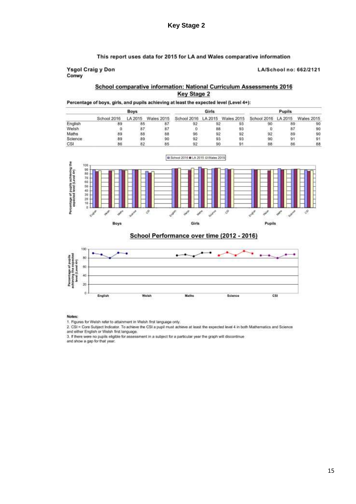### This report uses data for 2015 for LA and Wales comparative information

#### **Ysgol Craig y Don** Conwy

#### LA/School no: 662/2121

### School comparative information: National Curriculum Assessments 2016 **Key Stage 2**

### Percentage of boys, girls, and pupils achieving at least the expected level (Level 4+):

|         | Boys        |         |            | Girls                                              |    |    | Pupils |    |            |
|---------|-------------|---------|------------|----------------------------------------------------|----|----|--------|----|------------|
|         | School 2016 | LA 2015 | Wales 2015 | School 2016 LA 2015 Wales 2015 School 2016 LA 2015 |    |    |        |    | Wales 2015 |
| English |             | 85      | 87         | 92                                                 | 92 | 93 | 90     | 89 | 90         |
| Welsh   |             | 87      | 8.         |                                                    | 88 | 93 |        | 87 | 90         |
| Maths   |             | 88      | 88         | 96                                                 | 92 | 92 |        | 89 | 90         |
| Science | 89          | 89      | 90         | 92                                                 | 93 | 93 | 90     | 91 | 91         |
| CSI     |             | 82      | 85         |                                                    | 90 |    | 88     | 86 | 88         |



School Performance over time (2012 - 2016)



Notes:

2. CSI = Core Subject Indicator. To achieve the CSI a pupil must achieve at least the expected level 4 in both Mathematics and Science<br>and either English or Welsh first language.

3. If there were no pupils eligible for assessment in a subject for a particular year the graph will discontinue

and show a gap for that year.

<sup>1.</sup> Figures for Welsh refer to attainment in Welsh first language only.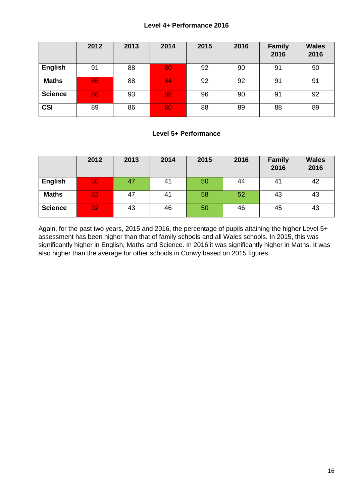### **Level 4+ Performance 2016**

|                | 2012 | 2013 | 2014 | 2015 | 2016 | <b>Family</b><br>2016 | <b>Wales</b><br>2016 |
|----------------|------|------|------|------|------|-----------------------|----------------------|
| <b>English</b> | 91   | 88   | 80   | 92   | 90   | 91                    | 90                   |
| <b>Maths</b>   | 86   | 88   | 84   | 92   | 92   | 91                    | 91                   |
| <b>Science</b> | 86   | 93   | 86   | 96   | 90   | 91                    | 92                   |
| <b>CSI</b>     | 89   | 86   | 80   | 88   | 89   | 88                    | 89                   |

### **Level 5+ Performance**

|                | 2012 | 2013 | 2014 | 2015 | 2016 | <b>Family</b><br>2016 | <b>Wales</b><br>2016 |
|----------------|------|------|------|------|------|-----------------------|----------------------|
| <b>English</b> | 30   | 47   | 41   | 50   | 44   | 41                    | 42                   |
| <b>Maths</b>   | 32   | 47   | 41   | 58   | 52   | 43                    | 43                   |
| <b>Science</b> | 32   | 43   | 46   | 50   | 46   | 45                    | 43                   |

Again, for the past two years, 2015 and 2016, the percentage of pupils attaining the higher Level 5+ assessment has been higher than that of family schools and all Wales schools. In 2015, this was significantly higher in English, Maths and Science. In 2016 it was significantly higher in Maths. It was also higher than the average for other schools in Conwy based on 2015 figures.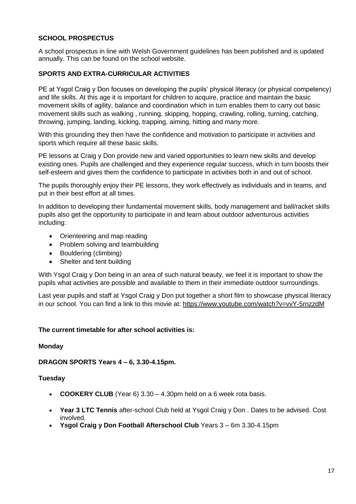# **SCHOOL PROSPECTUS**

A school prospectus in line with Welsh Government guidelines has been published and is updated annually. This can be found on the school website.

### **SPORTS AND EXTRA-CURRICULAR ACTIVITIES**

PE at Ysgol Craig y Don focuses on developing the pupils' physical literacy (or physical competency) and life skills. At this age it is important for children to acquire, practice and maintain the basic movement skills of agility, balance and coordination which in turn enables them to carry out basic movement skills such as walking , running, skipping, hopping, crawling, rolling, turning, catching, throwing, jumping, landing, kicking, trapping, aiming, hitting and many more.

With this grounding they then have the confidence and motivation to participate in activities and sports which require all these basic skills.

PE lessons at Craig y Don provide new and varied opportunities to learn new skills and develop existing ones. Pupils are challenged and they experience regular success, which in turn boosts their self-esteem and gives them the confidence to participate in activities both in and out of school.

The pupils thoroughly enjoy their PE lessons, they work effectively as individuals and in teams, and put in their best effort at all times.

In addition to developing their fundamental movement skills, body management and ball/racket skills pupils also get the opportunity to participate in and learn about outdoor adventurous activities including:

- Orienteering and map reading
- Problem solving and teambuilding
- Bouldering (climbing)
- Shelter and tent building

With Ysgol Craig y Don being in an area of such natural beauty, we feel it is important to show the pupils what activities are possible and available to them in their immediate outdoor surroundings.

Last year pupils and staff at Ysgol Craig y Don put together a short film to showcase physical literacy in our school. You can find a link to this movie at:<https://www.youtube.com/watch?v=vvY-5rnzzdM>

### **The current timetable for after school activities is:**

### **Monday**

**DRAGON SPORTS Years 4 – 6, 3.30-4.15pm.**

### **Tuesday**

- **COOKERY CLUB** (Year 6) 3.30 4.30pm held on a 6 week rota basis.
- **Year 3 LTC Tennis** after-school Club held at Ysgol Craig y Don . Dates to be advised. Cost involved.
- **Ysgol Craig y Don Football Afterschool Club** Years 3 6m 3.30-4.15pm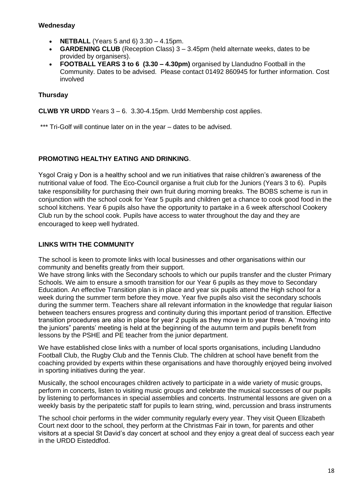### **Wednesday**

- **NETBALL** (Years 5 and 6) 3.30 4.15pm.
- **GARDENING CLUB** (Reception Class) 3 3.45pm (held alternate weeks, dates to be provided by organisers).
- **FOOTBALL YEARS 3 to 6 (3.30 – 4.30pm)** organised by Llandudno Football in the Community. Dates to be advised. Please contact 01492 860945 for further information. Cost involved

# **Thursday**

**CLWB YR URDD** Years 3 – 6. 3.30-4.15pm. Urdd Membership cost applies.

\*\*\* Tri-Golf will continue later on in the year – dates to be advised.

## **PROMOTING HEALTHY EATING AND DRINKING**.

Ysgol Craig y Don is a healthy school and we run initiatives that raise children's awareness of the nutritional value of food. The Eco-Council organise a fruit club for the Juniors (Years 3 to 6). Pupils take responsibility for purchasing their own fruit during morning breaks. The BOBS scheme is run in conjunction with the school cook for Year 5 pupils and children get a chance to cook good food in the school kitchens. Year 6 pupils also have the opportunity to partake in a 6 week afterschool Cookery Club run by the school cook. Pupils have access to water throughout the day and they are encouraged to keep well hydrated.

## **LINKS WITH THE COMMUNITY**

The school is keen to promote links with local businesses and other organisations within our community and benefits greatly from their support.

We have strong links with the Secondary schools to which our pupils transfer and the cluster Primary Schools. We aim to ensure a smooth transition for our Year 6 pupils as they move to Secondary Education. An effective Transition plan is in place and year six pupils attend the High school for a week during the summer term before they move. Year five pupils also visit the secondary schools during the summer term. Teachers share all relevant information in the knowledge that regular liaison between teachers ensures progress and continuity during this important period of transition. Effective transition procedures are also in place for year 2 pupils as they move in to year three. A "moving into the juniors" parents' meeting is held at the beginning of the autumn term and pupils benefit from lessons by the PSHE and PE teacher from the junior department.

We have established close links with a number of local sports organisations, including Llandudno Football Club, the Rugby Club and the Tennis Club. The children at school have benefit from the coaching provided by experts within these organisations and have thoroughly enjoyed being involved in sporting initiatives during the year.

Musically, the school encourages children actively to participate in a wide variety of music groups, perform in concerts, listen to visiting music groups and celebrate the musical successes of our pupils by listening to performances in special assemblies and concerts. Instrumental lessons are given on a weekly basis by the peripatetic staff for pupils to learn string, wind, percussion and brass instruments

The school choir performs in the wider community regularly every year. They visit Queen Elizabeth Court next door to the school, they perform at the Christmas Fair in town, for parents and other visitors at a special St David's day concert at school and they enjoy a great deal of success each year in the URDD Eisteddfod.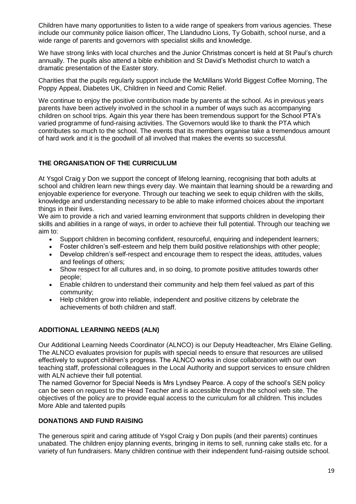Children have many opportunities to listen to a wide range of speakers from various agencies. These include our community police liaison officer, The Llandudno Lions, Ty Gobaith, school nurse, and a wide range of parents and governors with specialist skills and knowledge.

We have strong links with local churches and the Junior Christmas concert is held at St Paul's church annually. The pupils also attend a bible exhibition and St David's Methodist church to watch a dramatic presentation of the Easter story.

Charities that the pupils regularly support include the McMillans World Biggest Coffee Morning, The Poppy Appeal, Diabetes UK, Children in Need and Comic Relief.

We continue to enjoy the positive contribution made by parents at the school. As in previous years parents have been actively involved in the school in a number of ways such as accompanying children on school trips. Again this year there has been tremendous support for the School PTA's varied programme of fund-raising activities. The Governors would like to thank the PTA which contributes so much to the school. The events that its members organise take a tremendous amount of hard work and it is the goodwill of all involved that makes the events so successful.

### **THE ORGANISATION OF THE CURRICULUM**

At Ysgol Craig y Don we support the concept of lifelong learning, recognising that both adults at school and children learn new things every day. We maintain that learning should be a rewarding and enjoyable experience for everyone. Through our teaching we seek to equip children with the skills, knowledge and understanding necessary to be able to make informed choices about the important things in their lives.

We aim to provide a rich and varied learning environment that supports children in developing their skills and abilities in a range of ways, in order to achieve their full potential. Through our teaching we aim to:

- Support children in becoming confident, resourceful, enquiring and independent learners;
- Foster children's self-esteem and help them build positive relationships with other people;
- Develop children's self-respect and encourage them to respect the ideas, attitudes, values and feelings of others;
- Show respect for all cultures and, in so doing, to promote positive attitudes towards other people;
- Enable children to understand their community and help them feel valued as part of this community;
- Help children grow into reliable, independent and positive citizens by celebrate the achievements of both children and staff.

### **ADDITIONAL LEARNING NEEDS (ALN)**

Our Additional Learning Needs Coordinator (ALNCO) is our Deputy Headteacher, Mrs Elaine Gelling. The ALNCO evaluates provision for pupils with special needs to ensure that resources are utilised effectively to support children's progress. The ALNCO works in close collaboration with our own teaching staff, professional colleagues in the Local Authority and support services to ensure children with ALN achieve their full potential.

The named Governor for Special Needs is Mrs Lyndsey Pearce. A copy of the school's SEN policy can be seen on request to the Head Teacher and is accessible through the school web site. The objectives of the policy are to provide equal access to the curriculum for all children. This includes More Able and talented pupils

### **DONATIONS AND FUND RAISING**

The generous spirit and caring attitude of Ysgol Craig y Don pupils (and their parents) continues unabated. The children enjoy planning events, bringing in items to sell, running cake stalls etc. for a variety of fun fundraisers. Many children continue with their independent fund-raising outside school.